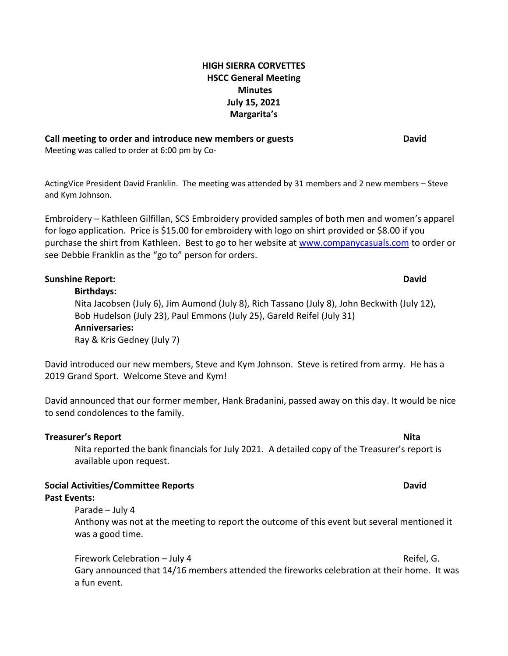# **HIGH SIERRA CORVETTES HSCC General Meeting Minutes July 15, 2021 Margarita's**

### **Call meeting to order and introduce new members or guests David**

Meeting was called to order at 6:00 pm by Co-

ActingVice President David Franklin. The meeting was attended by 31 members and 2 new members – Steve and Kym Johnson.

Embroidery – Kathleen Gilfillan, SCS Embroidery provided samples of both men and women's apparel for logo application. Price is \$15.00 for embroidery with logo on shirt provided or \$8.00 if you purchase the shirt from Kathleen. Best to go to her website at [www.companycasuals.com](http://www.companycasuals.com/) to order or see Debbie Franklin as the "go to" person for orders.

# **Sunshine Report: David**

**Birthdays:** Nita Jacobsen (July 6), Jim Aumond (July 8), Rich Tassano (July 8), John Beckwith (July 12), Bob Hudelson (July 23), Paul Emmons (July 25), Gareld Reifel (July 31) **Anniversaries:** Ray & Kris Gedney (July 7)

David introduced our new members, Steve and Kym Johnson. Steve is retired from army. He has a 2019 Grand Sport. Welcome Steve and Kym!

David announced that our former member, Hank Bradanini, passed away on this day. It would be nice to send condolences to the family.

## **Treasurer's Report Nita** Nita reported the bank financials for July 2021. A detailed copy of the Treasurer's report is available upon request.

# **Social Activities/Committee Reports David**

## **Past Events:**

Parade – July 4

Anthony was not at the meeting to report the outcome of this event but several mentioned it was a good time.

Firework Celebration – July 4 **Reifel, G.** And The Reifel, G. And The Reifel, G. Gary announced that 14/16 members attended the fireworks celebration at their home. It was a fun event.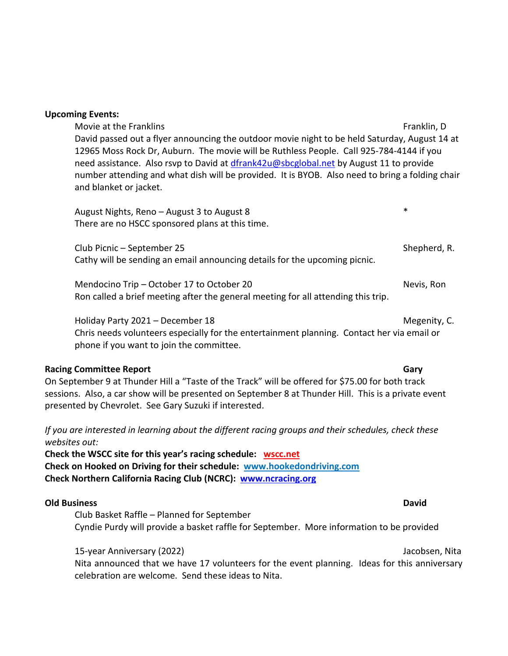|  |  | <b>Upcoming Events:</b> |
|--|--|-------------------------|
|--|--|-------------------------|

Movie at the Franklins Frankling Frankling Franklin, D. Franklin, D. Franklin, D. Franklin, D. Franklin, D. Franklin, D. Franklin, D. Franklin, D. Franklin, D. Franklin, D. Franklin, D. Franklin, D. Franklin, D. Franklin, David passed out a flyer announcing the outdoor movie night to be held Saturday, August 14 at 12965 Moss Rock Dr, Auburn. The movie will be Ruthless People. Call 925-784-4144 if you need assistance. Also rsvp to David at [dfrank42u@sbcglobal.net](mailto:dfrank42u@sbcglobal.net) by August 11 to provide number attending and what dish will be provided. It is BYOB. Also need to bring a folding chair and blanket or jacket.

August Nights, Reno – August 3 to August 8 \* There are no HSCC sponsored plans at this time.

Club Picnic – September 25 Shepherd, R. Cathy will be sending an email announcing details for the upcoming picnic.

Mendocino Trip – October 17 to October 20 Nevis, Ron Ron called a brief meeting after the general meeting for all attending this trip.

Holiday Party 2021 – December 18 Megenity, C. Chris needs volunteers especially for the entertainment planning. Contact her via email or phone if you want to join the committee.

## **Racing Committee Report Gary**

On September 9 at Thunder Hill a "Taste of the Track" will be offered for \$75.00 for both track sessions. Also, a car show will be presented on September 8 at Thunder Hill. This is a private event presented by Chevrolet. See Gary Suzuki if interested.

*If you are interested in learning about the different racing groups and their schedules, check these websites out:*

**Check the WSCC site for this year's racing schedule: [wscc.net](https://wscc.net/) Check on Hooked on Driving for their schedule: [www.hookedondriving.com](http://www.hookedondriving.com/) Check Northern California Racing Club (NCRC): [www.ncracing.org](http://www.ncracing.org/)**

### **Old Business David**

Club Basket Raffle – Planned for September Cyndie Purdy will provide a basket raffle for September. More information to be provided

## 15-year Anniversary (2022) Jacobsen, Nita

Nita announced that we have 17 volunteers for the event planning. Ideas for this anniversary celebration are welcome. Send these ideas to Nita.